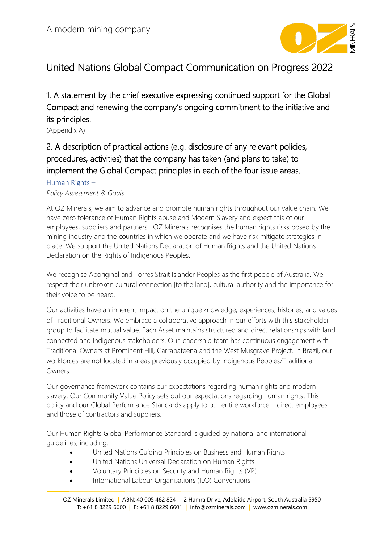

# United Nations Global Compact Communication on Progress 2022

1. A statement by the chief executive expressing continued support for the Global Compact and renewing the company's ongoing commitment to the initiative and its principles.

(Appendix A)

# 2. A description of practical actions (e.g. disclosure of any relevant policies, procedures, activities) that the company has taken (and plans to take) to implement the Global Compact principles in each of the four issue areas.

#### Human Rights –

#### *Policy Assessment & Goals*

At OZ Minerals, we aim to advance and promote human rights throughout our value chain. We have zero tolerance of Human Rights abuse and Modern Slavery and expect this of our employees, suppliers and partners. OZ Minerals recognises the human rights risks posed by the mining industry and the countries in which we operate and we have risk mitigate strategies in place. We support the United Nations Declaration of Human Rights and the United Nations Declaration on the Rights of Indigenous Peoples.

We recognise Aboriginal and Torres Strait Islander Peoples as the first people of Australia. We respect their unbroken cultural connection [to the land], cultural authority and the importance for their voice to be heard.

Our activities have an inherent impact on the unique knowledge, experiences, histories, and values of Traditional Owners. We embrace a collaborative approach in our efforts with this stakeholder group to facilitate mutual value. Each Asset maintains structured and direct relationships with land connected and Indigenous stakeholders. Our leadership team has continuous engagement with Traditional Owners at Prominent Hill, Carrapateena and the West Musgrave Project. In Brazil, our workforces are not located in areas previously occupied by Indigenous Peoples/Traditional Owners.

Our governance framework contains our expectations regarding human rights and modern slavery. Our Community Value Policy sets out our expectations regarding human rights. This policy and our Global Performance Standards apply to our entire workforce – direct employees and those of contractors and suppliers.

Our Human Rights Global Performance Standard is guided by national and international guidelines, including:

- United Nations Guiding Principles on Business and Human Rights
- United Nations Universal Declaration on Human Rights
- Voluntary Principles on Security and Human Rights (VP)
- International Labour Organisations (ILO) Conventions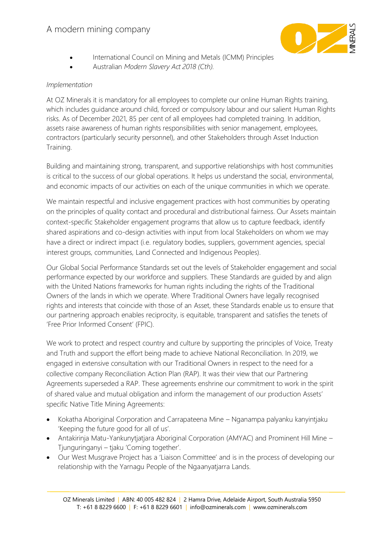

- International Council on Mining and Metals (ICMM) Principles
- Australian *Modern Slavery Act 2018 (Cth).*

#### *Implementation*

At OZ Minerals it is mandatory for all employees to complete our online Human Rights training, which includes guidance around child, forced or compulsory labour and our salient Human Rights risks. As of December 2021, 85 per cent of all employees had completed training. In addition, assets raise awareness of human rights responsibilities with senior management, employees, contractors (particularly security personnel), and other Stakeholders through Asset Induction Training.

Building and maintaining strong, transparent, and supportive relationships with host communities is critical to the success of our global operations. It helps us understand the social, environmental, and economic impacts of our activities on each of the unique communities in which we operate.

We maintain respectful and inclusive engagement practices with host communities by operating on the principles of quality contact and procedural and distributional fairness. Our Assets maintain context-specific Stakeholder engagement programs that allow us to capture feedback, identify shared aspirations and co-design activities with input from local Stakeholders on whom we may have a direct or indirect impact (i.e. regulatory bodies, suppliers, government agencies, special interest groups, communities, Land Connected and Indigenous Peoples).

Our Global Social Performance Standards set out the levels of Stakeholder engagement and social performance expected by our workforce and suppliers. These Standards are guided by and align with the United Nations frameworks for human rights including the rights of the Traditional Owners of the lands in which we operate. Where Traditional Owners have legally recognised rights and interests that coincide with those of an Asset, these Standards enable us to ensure that our partnering approach enables reciprocity, is equitable, transparent and satisfies the tenets of 'Free Prior Informed Consent' (FPIC).

We work to protect and respect country and culture by supporting the principles of Voice, Treaty and Truth and support the effort being made to achieve National Reconciliation. In 2019, we engaged in extensive consultation with our Traditional Owners in respect to the need for a collective company Reconciliation Action Plan (RAP). It was their view that our Partnering Agreements superseded a RAP. These agreements enshrine our commitment to work in the spirit of shared value and mutual obligation and inform the management of our production Assets' specific Native Title Mining Agreements:

- Kokatha Aboriginal Corporation and Carrapateena Mine Nganampa palyanku kanyintjaku 'Keeping the future good for all of us'.
- Antakirinja Matu-Yankunytjatjara Aboriginal Corporation (AMYAC) and Prominent Hill Mine Tjunguringanyi – tjaku 'Coming together'.
- Our West Musgrave Project has a 'Liaison Committee' and is in the process of developing our relationship with the Yarnagu People of the Ngaanyatjarra Lands.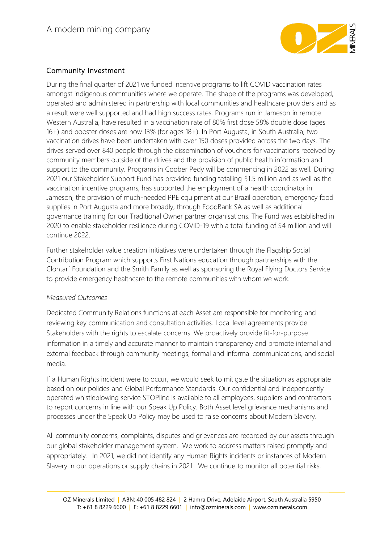

# Community Investment

During the final quarter of 2021 we funded incentive programs to lift COVID vaccination rates amongst indigenous communities where we operate. The shape of the programs was developed, operated and administered in partnership with local communities and healthcare providers and as a result were well supported and had high success rates. Programs run in Jameson in remote Western Australia, have resulted in a vaccination rate of 80% first dose 58% double dose (ages 16+) and booster doses are now 13% (for ages 18+). In Port Augusta, in South Australia, two vaccination drives have been undertaken with over 150 doses provided across the two days. The drives served over 840 people through the dissemination of vouchers for vaccinations received by community members outside of the drives and the provision of public health information and support to the community. Programs in Coober Pedy will be commencing in 2022 as well. During 2021 our Stakeholder Support Fund has provided funding totalling \$1.5 million and as well as the vaccination incentive programs, has supported the employment of a health coordinator in Jameson, the provision of much-needed PPE equipment at our Brazil operation, emergency food supplies in Port Augusta and more broadly, through FoodBank SA as well as additional governance training for our Traditional Owner partner organisations. The Fund was established in 2020 to enable stakeholder resilience during COVID-19 with a total funding of \$4 million and will continue 2022.

Further stakeholder value creation initiatives were undertaken through the Flagship Social Contribution Program which supports First Nations education through partnerships with the Clontarf Foundation and the Smith Family as well as sponsoring the Royal Flying Doctors Service to provide emergency healthcare to the remote communities with whom we work.

#### *Measured Outcomes*

Dedicated Community Relations functions at each Asset are responsible for monitoring and reviewing key communication and consultation activities. Local level agreements provide Stakeholders with the rights to escalate concerns. We proactively provide fit-for-purpose information in a timely and accurate manner to maintain transparency and promote internal and external feedback through community meetings, formal and informal communications, and social media.

If a Human Rights incident were to occur, we would seek to mitigate the situation as appropriate based on our policies and Global Performance Standards. Our confidential and independently operated whistleblowing service STOPline is available to all employees, suppliers and contractors to report concerns in line with our Speak Up Policy. Both Asset level grievance mechanisms and processes under the Speak Up Policy may be used to raise concerns about Modern Slavery.

All community concerns, complaints, disputes and grievances are recorded by our assets through our global stakeholder management system. We work to address matters raised promptly and appropriately. In 2021, we did not identify any Human Rights incidents or instances of Modern Slavery in our operations or supply chains in 2021. We continue to monitor all potential risks.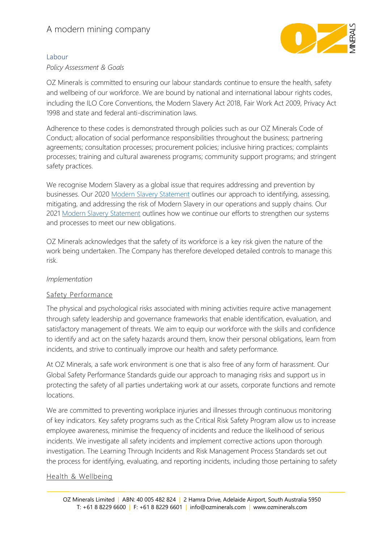

#### Labour

#### *Policy Assessment & Goals*

OZ Minerals is committed to ensuring our labour standards continue to ensure the health, safety and wellbeing of our workforce. We are bound by national and international labour rights codes, including the ILO Core Conventions, the Modern Slavery Act 2018, Fair Work Act 2009, Privacy Act 1998 and state and federal anti-discrimination laws.

Adherence to these codes is demonstrated through policies such as our OZ Minerals Code of Conduct; allocation of social performance responsibilities throughout the business; partnering agreements; consultation processes; procurement policies; inclusive hiring practices; complaints processes; training and cultural awareness programs; community support programs; and stringent safety practices.

We recognise Modern Slavery as a global issue that requires addressing and prevention by businesses. Our 2020 [Modern Slavery Statement](https://www.ozminerals.com/en/working-with-us/modern-slavery-statement) outlines our approach to identifying, assessing, mitigating, and addressing the risk of Modern Slavery in our operations and supply chains. Our 2021 [Modern Slavery Statement](https://www.ozminerals.com/en/working-with-us/modern-slavery-statement) outlines how we continue our efforts to strengthen our systems and processes to meet our new obligations.

OZ Minerals acknowledges that the safety of its workforce is a key risk given the nature of the work being undertaken. The Company has therefore developed detailed controls to manage this risk.

#### *Implementation*

### Safety Performance

The physical and psychological risks associated with mining activities require active management through safety leadership and governance frameworks that enable identification, evaluation, and satisfactory management of threats. We aim to equip our workforce with the skills and confidence to identify and act on the safety hazards around them, know their personal obligations, learn from incidents, and strive to continually improve our health and safety performance.

At OZ Minerals, a safe work environment is one that is also free of any form of harassment. Our Global Safety Performance Standards guide our approach to managing risks and support us in protecting the safety of all parties undertaking work at our assets, corporate functions and remote locations.

We are committed to preventing workplace injuries and illnesses through continuous monitoring of key indicators. Key safety programs such as the Critical Risk Safety Program allow us to increase employee awareness, minimise the frequency of incidents and reduce the likelihood of serious incidents. We investigate all safety incidents and implement corrective actions upon thorough investigation. The Learning Through Incidents and Risk Management Process Standards set out the process for identifying, evaluating, and reporting incidents, including those pertaining to safety

#### Health & Wellbeing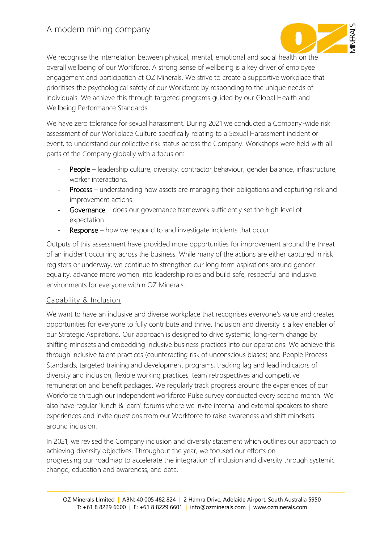

We recognise the interrelation between physical, mental, emotional and social health on the overall wellbeing of our Workforce. A strong sense of wellbeing is a key driver of employee engagement and participation at OZ Minerals. We strive to create a supportive workplace that prioritises the psychological safety of our Workforce by responding to the unique needs of individuals. We achieve this through targeted programs guided by our Global Health and Wellbeing Performance Standards.

We have zero tolerance for sexual harassment. During 2021 we conducted a Company-wide risk assessment of our Workplace Culture specifically relating to a Sexual Harassment incident or event, to understand our collective risk status across the Company. Workshops were held with all parts of the Company globally with a focus on:

- People leadership culture, diversity, contractor behaviour, gender balance, infrastructure, worker interactions.
- Process understanding how assets are managing their obligations and capturing risk and improvement actions.
- Governance does our governance framework sufficiently set the high level of expectation.
- Response how we respond to and investigate incidents that occur.

Outputs of this assessment have provided more opportunities for improvement around the threat of an incident occurring across the business. While many of the actions are either captured in risk registers or underway, we continue to strengthen our long term aspirations around gender equality, advance more women into leadership roles and build safe, respectful and inclusive environments for everyone within OZ Minerals.

#### Capability & Inclusion

We want to have an inclusive and diverse workplace that recognises everyone's value and creates opportunities for everyone to fully contribute and thrive. Inclusion and diversity is a key enabler of our Strategic Aspirations. Our approach is designed to drive systemic, long-term change by shifting mindsets and embedding inclusive business practices into our operations. We achieve this through inclusive talent practices (counteracting risk of unconscious biases) and People Process Standards, targeted training and development programs, tracking lag and lead indicators of diversity and inclusion, flexible working practices, team retrospectives and competitive remuneration and benefit packages. We regularly track progress around the experiences of our Workforce through our independent workforce Pulse survey conducted every second month. We also have regular 'lunch & learn' forums where we invite internal and external speakers to share experiences and invite questions from our Workforce to raise awareness and shift mindsets around inclusion.

In 2021, we revised the Company inclusion and diversity statement which outlines our approach to achieving diversity objectives. Throughout the year, we focused our efforts on progressing our roadmap to accelerate the integration of inclusion and diversity through systemic change, education and awareness, and data.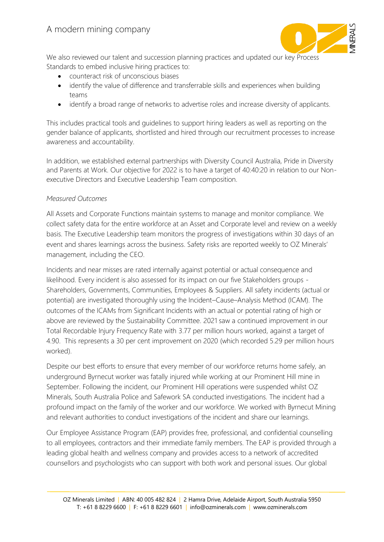

We also reviewed our talent and succession planning practices and updated our key Process Standards to embed inclusive hiring practices to:

- counteract risk of unconscious biases
- identify the value of difference and transferrable skills and experiences when building teams
- identify a broad range of networks to advertise roles and increase diversity of applicants.

This includes practical tools and guidelines to support hiring leaders as well as reporting on the gender balance of applicants, shortlisted and hired through our recruitment processes to increase awareness and accountability.

In addition, we established external partnerships with Diversity Council Australia, Pride in Diversity and Parents at Work. Our objective for 2022 is to have a target of 40:40:20 in relation to our Nonexecutive Directors and Executive Leadership Team composition.

#### *Measured Outcomes*

All Assets and Corporate Functions maintain systems to manage and monitor compliance. We collect safety data for the entire workforce at an Asset and Corporate level and review on a weekly basis. The Executive Leadership team monitors the progress of investigations within 30 days of an event and shares learnings across the business. Safety risks are reported weekly to OZ Minerals' management, including the CEO.

Incidents and near misses are rated internally against potential or actual consequence and likelihood. Every incident is also assessed for its impact on our five Stakeholders groups - Shareholders, Governments, Communities, Employees & Suppliers. All safety incidents (actual or potential) are investigated thoroughly using the Incident–Cause–Analysis Method (ICAM). The outcomes of the ICAMs from Significant Incidents with an actual or potential rating of high or above are reviewed by the Sustainability Committee. 2021 saw a continued improvement in our Total Recordable Injury Frequency Rate with 3.77 per million hours worked, against a target of 4.90. This represents a 30 per cent improvement on 2020 (which recorded 5.29 per million hours worked).

Despite our best efforts to ensure that every member of our workforce returns home safely, an underground Byrnecut worker was fatally injured while working at our Prominent Hill mine in September. Following the incident, our Prominent Hill operations were suspended whilst OZ Minerals, South Australia Police and Safework SA conducted investigations. The incident had a profound impact on the family of the worker and our workforce. We worked with Byrnecut Mining and relevant authorities to conduct investigations of the incident and share our learnings.

Our Employee Assistance Program (EAP) provides free, professional, and confidential counselling to all employees, contractors and their immediate family members. The EAP is provided through a leading global health and wellness company and provides access to a network of accredited counsellors and psychologists who can support with both work and personal issues. Our global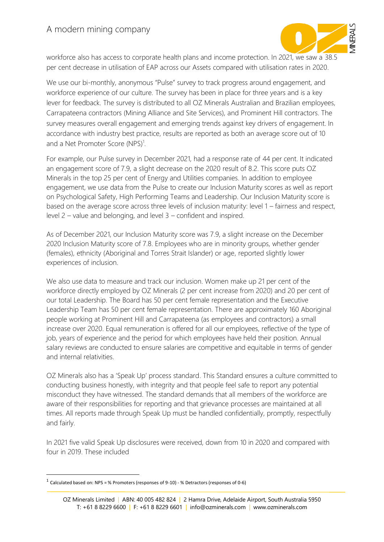

workforce also has access to corporate health plans and income protection. In 2021, we saw a 38.5 per cent decrease in utilisation of EAP across our Assets compared with utilisation rates in 2020.

We use our bi-monthly, anonymous "Pulse" survey to track progress around engagement, and workforce experience of our culture. The survey has been in place for three years and is a key lever for feedback. The survey is distributed to all OZ Minerals Australian and Brazilian employees, Carrapateena contractors (Mining Alliance and Site Services), and Prominent Hill contractors. The survey measures overall engagement and emerging trends against key drivers of engagement. In accordance with industry best practice, results are reported as both an average score out of 10 and a Net Promoter Score (NPS)<sup>1</sup>.

For example, our Pulse survey in December 2021, had a response rate of 44 per cent. It indicated an engagement score of 7.9, a slight decrease on the 2020 result of 8.2. This score puts OZ Minerals in the top 25 per cent of Energy and Utilities companies. In addition to employee engagement, we use data from the Pulse to create our Inclusion Maturity scores as well as report on Psychological Safety, High Performing Teams and Leadership. Our Inclusion Maturity score is based on the average score across three levels of inclusion maturity: level 1 – fairness and respect, level 2 – value and belonging, and level 3 – confident and inspired.

As of December 2021, our Inclusion Maturity score was 7.9, a slight increase on the December 2020 Inclusion Maturity score of 7.8. Employees who are in minority groups, whether gender (females), ethnicity (Aboriginal and Torres Strait Islander) or age, reported slightly lower experiences of inclusion.

We also use data to measure and track our inclusion. Women make up 21 per cent of the workforce directly employed by OZ Minerals (2 per cent increase from 2020) and 20 per cent of our total Leadership. The Board has 50 per cent female representation and the Executive Leadership Team has 50 per cent female representation. There are approximately 160 Aboriginal people working at Prominent Hill and Carrapateena (as employees and contractors) a small increase over 2020. Equal remuneration is offered for all our employees, reflective of the type of job, years of experience and the period for which employees have held their position. Annual salary reviews are conducted to ensure salaries are competitive and equitable in terms of gender and internal relativities.

OZ Minerals also has a 'Speak Up' process standard. This Standard ensures a culture committed to conducting business honestly, with integrity and that people feel safe to report any potential misconduct they have witnessed. The standard demands that all members of the workforce are aware of their responsibilities for reporting and that grievance processes are maintained at all times. All reports made through Speak Up must be handled confidentially, promptly, respectfully and fairly.

In 2021 five valid Speak Up disclosures were received, down from 10 in 2020 and compared with four in 2019. These included

 $<sup>1</sup>$  Calculated based on: NPS = % Promoters (responses of 9-10) - % Detractors (responses of 0-6)</sup>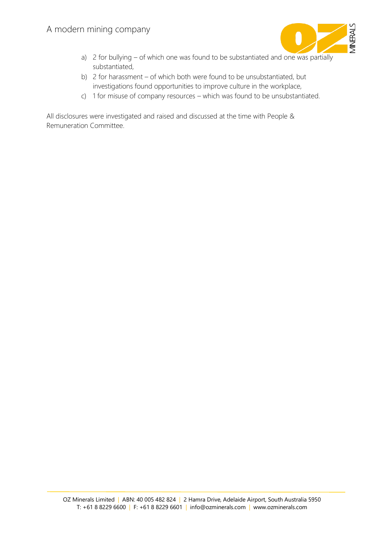

- a) 2 for bullying of which one was found to be substantiated and one was partially substantiated,
- b) 2 for harassment of which both were found to be unsubstantiated, but investigations found opportunities to improve culture in the workplace,
- c) 1 for misuse of company resources which was found to be unsubstantiated.

All disclosures were investigated and raised and discussed at the time with People & Remuneration Committee.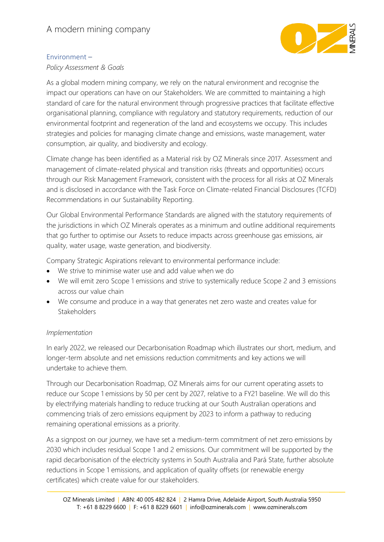

### Environment –

*Policy Assessment & Goals*

As a global modern mining company, we rely on the natural environment and recognise the impact our operations can have on our Stakeholders. We are committed to maintaining a high standard of care for the natural environment through progressive practices that facilitate effective organisational planning, compliance with regulatory and statutory requirements, reduction of our environmental footprint and regeneration of the land and ecosystems we occupy. This includes strategies and policies for managing climate change and emissions, waste management, water consumption, air quality, and biodiversity and ecology.

Climate change has been identified as a Material risk by OZ Minerals since 2017. Assessment and management of climate-related physical and transition risks (threats and opportunities) occurs through our Risk Management Framework, consistent with the process for all risks at OZ Minerals and is disclosed in accordance with the Task Force on Climate-related Financial Disclosures (TCFD) Recommendations in our Sustainability Reporting.

Our Global Environmental Performance Standards are aligned with the statutory requirements of the jurisdictions in which OZ Minerals operates as a minimum and outline additional requirements that go further to optimise our Assets to reduce impacts across greenhouse gas emissions, air quality, water usage, waste generation, and biodiversity.

Company Strategic Aspirations relevant to environmental performance include:

- We strive to minimise water use and add value when we do
- We will emit zero Scope 1 emissions and strive to systemically reduce Scope 2 and 3 emissions across our value chain
- We consume and produce in a way that generates net zero waste and creates value for **Stakeholders**

# *Implementation*

In early 2022, we released our Decarbonisation Roadmap which illustrates our short, medium, and longer-term absolute and net emissions reduction commitments and key actions we will undertake to achieve them.

Through our Decarbonisation Roadmap, OZ Minerals aims for our current operating assets to reduce our Scope 1 emissions by 50 per cent by 2027, relative to a FY21 baseline. We will do this by electrifying materials handling to reduce trucking at our South Australian operations and commencing trials of zero emissions equipment by 2023 to inform a pathway to reducing remaining operational emissions as a priority.

As a signpost on our journey, we have set a medium-term commitment of net zero emissions by 2030 which includes residual Scope 1 and 2 emissions. Our commitment will be supported by the rapid decarbonisation of the electricity systems in South Australia and Pará State, further absolute reductions in Scope 1 emissions, and application of quality offsets (or renewable energy certificates) which create value for our stakeholders.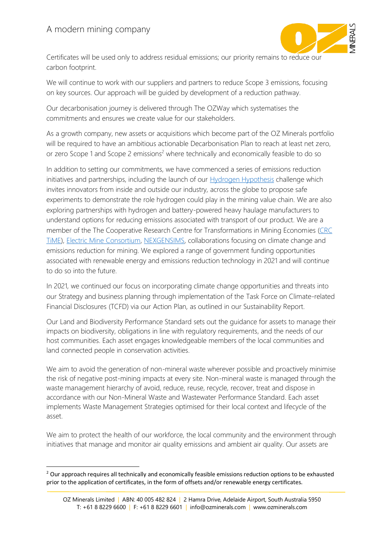

Certificates will be used only to address residual emissions; our priority remains to reduce our carbon footprint.

We will continue to work with our suppliers and partners to reduce Scope 3 emissions, focusing on key sources. Our approach will be guided by development of a reduction pathway.

Our decarbonisation journey is delivered through The OZWay which systematises the commitments and ensures we create value for our stakeholders.

As a growth company, new assets or acquisitions which become part of the OZ Minerals portfolio will be required to have an ambitious actionable Decarbonisation Plan to reach at least net zero, or zero Scope 1 and Scope 2 emissions<sup>2</sup> where technically and economically feasible to do so

In addition to setting our commitments, we have commenced a series of emissions reduction initiatives and partnerships, including the launch of our **Hydrogen Hypothesis challenge which** invites innovators from inside and outside our industry, across the globe to propose safe experiments to demonstrate the role hydrogen could play in the mining value chain. We are also exploring partnerships with hydrogen and battery-powered heavy haulage manufacturers to understand options for reducing emissions associated with transport of our product. We are a member of the The Cooperative Research Centre for Transformations in Mining Economies [\(CRC](https://crctime.com.au/)  [TiME\)](https://crctime.com.au/), [Electric Mine Consortium,](https://www.electricmine.com/) [NEXGENSIMS,](https://www.nexgensims.eu/) collaborations focusing on climate change and emissions reduction for mining. We explored a range of government funding opportunities associated with renewable energy and emissions reduction technology in 2021 and will continue to do so into the future.

In 2021, we continued our focus on incorporating climate change opportunities and threats into our Strategy and business planning through implementation of the Task Force on Climate-related Financial Disclosures (TCFD) via our Action Plan, as outlined in our Sustainability Report.

Our Land and Biodiversity Performance Standard sets out the guidance for assets to manage their impacts on biodiversity, obligations in line with regulatory requirements, and the needs of our host communities. Each asset engages knowledgeable members of the local communities and land connected people in conservation activities.

We aim to avoid the generation of non-mineral waste wherever possible and proactively minimise the risk of negative post-mining impacts at every site. Non-mineral waste is managed through the waste management hierarchy of avoid, reduce, reuse, recycle, recover, treat and dispose in accordance with our Non-Mineral Waste and Wastewater Performance Standard. Each asset implements Waste Management Strategies optimised for their local context and lifecycle of the asset.

We aim to protect the health of our workforce, the local community and the environment through initiatives that manage and monitor air quality emissions and ambient air quality. Our assets are

<sup>&</sup>lt;sup>2</sup> Our approach requires all technically and economically feasible emissions reduction options to be exhausted prior to the application of certificates, in the form of offsets and/or renewable energy certificates.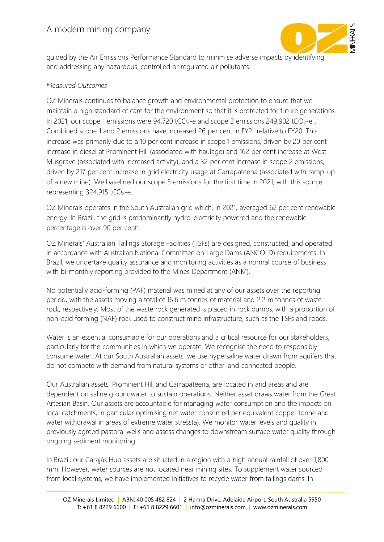

guided by the Air Emissions Performance Standard to minimise adverse impacts by identifying and addressing any hazardous, controlled or regulated air pollutants.

### *Measured Outcomes*

OZ Minerals continues to balance growth and environmental protection to ensure that we maintain a high standard of care for the environment so that it is protected for future generations. In 2021, our scope 1 emissions were  $94,720$  tCO<sub>2</sub>-e and scope 2 emissions 249,902 tCO<sub>2</sub>-e. Combined scope 1 and 2 emissions have increased 26 per cent in FY21 relative to FY20. This increase was primarily due to a 10 per cent increase in scope 1 emissions, driven by 20 per cent increase in diesel at Prominent Hill (associated with haulage) and 162 per cent increase at West Musgrave (associated with increased activity), and a 32 per cent increase in scope 2 emissions, driven by 217 per cent increase in grid electricity usage at Carrapateena (associated with ramp-up of a new mine). We baselined our scope 3 emissions for the first time in 2021, with this source representing  $324,915$  tCO<sub>2</sub>-e.

OZ Minerals operates in the South Australian grid which, in 2021, averaged 62 per cent renewable energy. In Brazil, the grid is predominantly hydro-electricity powered and the renewable percentage is over 90 per cent.

OZ Minerals' Australian Tailings Storage Facilities (TSFs) are designed, constructed, and operated in accordance with Australian National Committee on Large Dams (ANCOLD) requirements. In Brazil, we undertake quality assurance and monitoring activities as a normal course of business with bi-monthly reporting provided to the Mines Department (ANM).

No potentially acid-forming (PAF) material was mined at any of our assets over the reporting period, with the assets moving a total of 16.6 m tonnes of material and 2.2 m tonnes of waste rock, respectively. Most of the waste rock generated is placed in rock dumps, with a proportion of non-acid forming (NAF) rock used to construct mine infrastructure, such as the TSFs and roads.

Water is an essential consumable for our operations and a critical resource for our stakeholders, particularly for the communities in which we operate. We recognise the need to responsibly consume water. At our South Australian assets, we use hypersaline water drawn from aquifers that do not compete with demand from natural systems or other land connected people.

Our Australian assets, Prominent Hill and Carrapateena, are located in arid areas and are dependent on saline groundwater to sustain operations. Neither asset draws water from the Great Artesian Basin. Our assets are accountable for managing water consumption and the impacts on local catchments, in particular optimising net water consumed per equivalent copper tonne and water withdrawal in areas of extreme water stress(a). We monitor water levels and quality in previously agreed pastoral wells and assess changes to downstream surface water quality through ongoing sediment monitoring.

In Brazil, our Carajás Hub assets are situated in a region with a high annual rainfall of over 1,800 mm. However, water sources are not located near mining sites. To supplement water sourced from local systems, we have implemented initiatives to recycle water from tailings dams. In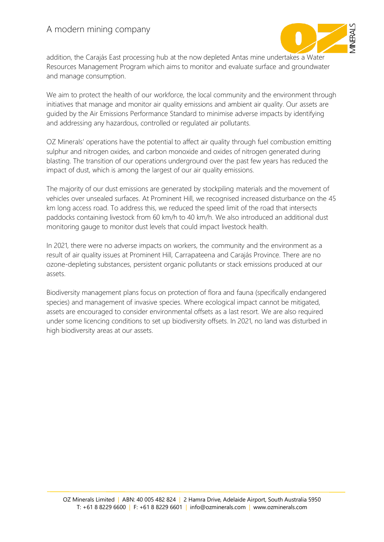

addition, the Carajás East processing hub at the now depleted Antas mine undertakes a Water Resources Management Program which aims to monitor and evaluate surface and groundwater and manage consumption.

We aim to protect the health of our workforce, the local community and the environment through initiatives that manage and monitor air quality emissions and ambient air quality. Our assets are guided by the Air Emissions Performance Standard to minimise adverse impacts by identifying and addressing any hazardous, controlled or regulated air pollutants.

OZ Minerals' operations have the potential to affect air quality through fuel combustion emitting sulphur and nitrogen oxides, and carbon monoxide and oxides of nitrogen generated during blasting. The transition of our operations underground over the past few years has reduced the impact of dust, which is among the largest of our air quality emissions.

The majority of our dust emissions are generated by stockpiling materials and the movement of vehicles over unsealed surfaces. At Prominent Hill, we recognised increased disturbance on the 45 km long access road. To address this, we reduced the speed limit of the road that intersects paddocks containing livestock from 60 km/h to 40 km/h. We also introduced an additional dust monitoring gauge to monitor dust levels that could impact livestock health.

In 2021, there were no adverse impacts on workers, the community and the environment as a result of air quality issues at Prominent Hill, Carrapateena and Carajás Province. There are no ozone-depleting substances, persistent organic pollutants or stack emissions produced at our assets.

Biodiversity management plans focus on protection of flora and fauna (specifically endangered species) and management of invasive species. Where ecological impact cannot be mitigated, assets are encouraged to consider environmental offsets as a last resort. We are also required under some licencing conditions to set up biodiversity offsets. In 2021, no land was disturbed in high biodiversity areas at our assets.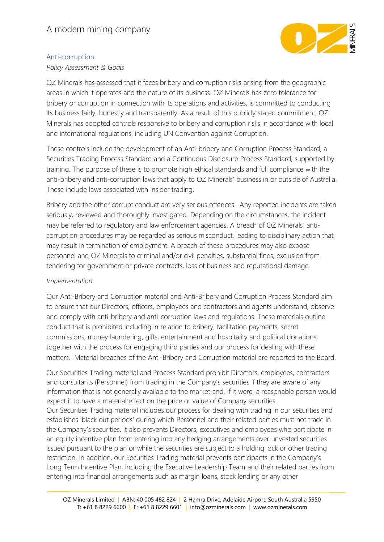

### Anti-corruption

*Policy Assessment & Goals*

OZ Minerals has assessed that it faces bribery and corruption risks arising from the geographic areas in which it operates and the nature of its business. OZ Minerals has zero tolerance for bribery or corruption in connection with its operations and activities, is committed to conducting its business fairly, honestly and transparently. As a result of this publicly stated commitment, OZ Minerals has adopted controls responsive to bribery and corruption risks in accordance with local and international regulations, including UN Convention against Corruption.

These controls include the development of an Anti-bribery and Corruption Process Standard, a Securities Trading Process Standard and a Continuous Disclosure Process Standard, supported by training. The purpose of these is to promote high ethical standards and full compliance with the anti-bribery and anti-corruption laws that apply to OZ Minerals' business in or outside of Australia. These include laws associated with insider trading.

Bribery and the other corrupt conduct are very serious offences. Any reported incidents are taken seriously, reviewed and thoroughly investigated. Depending on the circumstances, the incident may be referred to regulatory and law enforcement agencies. A breach of OZ Minerals' anticorruption procedures may be regarded as serious misconduct, leading to disciplinary action that may result in termination of employment. A breach of these procedures may also expose personnel and OZ Minerals to criminal and/or civil penalties, substantial fines, exclusion from tendering for government or private contracts, loss of business and reputational damage.

### *Implementation*

Our Anti-Bribery and Corruption material and Anti-Bribery and Corruption Process Standard aim to ensure that our Directors, officers, employees and contractors and agents understand, observe and comply with anti-bribery and anti-corruption laws and regulations. These materials outline conduct that is prohibited including in relation to bribery, facilitation payments, secret commissions, money laundering, gifts, entertainment and hospitality and political donations, together with the process for engaging third parties and our process for dealing with these matters. Material breaches of the Anti-Bribery and Corruption material are reported to the Board.

Our Securities Trading material and Process Standard prohibit Directors, employees, contractors and consultants (Personnel) from trading in the Company's securities if they are aware of any information that is not generally available to the market and, if it were, a reasonable person would expect it to have a material effect on the price or value of Company securities.

Our Securities Trading material includes our process for dealing with trading in our securities and establishes 'black out periods' during which Personnel and their related parties must not trade in the Company's securities. It also prevents Directors, executives and employees who participate in an equity incentive plan from entering into any hedging arrangements over unvested securities issued pursuant to the plan or while the securities are subject to a holding lock or other trading restriction. In addition, our Securities Trading material prevents participants in the Company's Long Term Incentive Plan, including the Executive Leadership Team and their related parties from entering into financial arrangements such as margin loans, stock lending or any other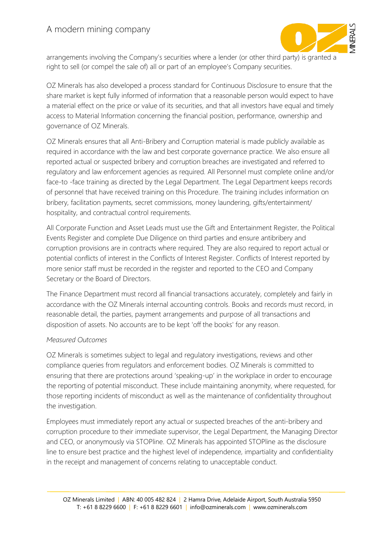

arrangements involving the Company's securities where a lender (or other third party) is granted a right to sell (or compel the sale of) all or part of an employee's Company securities.

OZ Minerals has also developed a process standard for Continuous Disclosure to ensure that the share market is kept fully informed of information that a reasonable person would expect to have a material effect on the price or value of its securities, and that all investors have equal and timely access to Material Information concerning the financial position, performance, ownership and governance of OZ Minerals.

OZ Minerals ensures that all Anti-Bribery and Corruption material is made publicly available as required in accordance with the law and best corporate governance practice. We also ensure all reported actual or suspected bribery and corruption breaches are investigated and referred to regulatory and law enforcement agencies as required. All Personnel must complete online and/or face-to -face training as directed by the Legal Department. The Legal Department keeps records of personnel that have received training on this Procedure. The training includes information on bribery, facilitation payments, secret commissions, money laundering, gifts/entertainment/ hospitality, and contractual control requirements.

All Corporate Function and Asset Leads must use the Gift and Entertainment Register, the Political Events Register and complete Due Diligence on third parties and ensure antibribery and corruption provisions are in contracts where required. They are also required to report actual or potential conflicts of interest in the Conflicts of Interest Register. Conflicts of Interest reported by more senior staff must be recorded in the register and reported to the CEO and Company Secretary or the Board of Directors.

The Finance Department must record all financial transactions accurately, completely and fairly in accordance with the OZ Minerals internal accounting controls. Books and records must record, in reasonable detail, the parties, payment arrangements and purpose of all transactions and disposition of assets. No accounts are to be kept 'off the books' for any reason.

### *Measured Outcomes*

OZ Minerals is sometimes subject to legal and regulatory investigations, reviews and other compliance queries from regulators and enforcement bodies. OZ Minerals is committed to ensuring that there are protections around 'speaking-up' in the workplace in order to encourage the reporting of potential misconduct. These include maintaining anonymity, where requested, for those reporting incidents of misconduct as well as the maintenance of confidentiality throughout the investigation.

Employees must immediately report any actual or suspected breaches of the anti-bribery and corruption procedure to their immediate supervisor, the Legal Department, the Managing Director and CEO, or anonymously via STOPline. OZ Minerals has appointed STOPline as the disclosure line to ensure best practice and the highest level of independence, impartiality and confidentiality in the receipt and management of concerns relating to unacceptable conduct.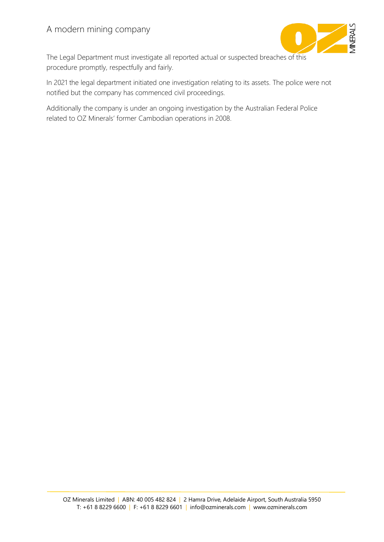

The Legal Department must investigate all reported actual or suspected breaches of this procedure promptly, respectfully and fairly.

In 2021 the legal department initiated one investigation relating to its assets. The police were not notified but the company has commenced civil proceedings.

Additionally the company is under an ongoing investigation by the Australian Federal Police related to OZ Minerals' former Cambodian operations in 2008.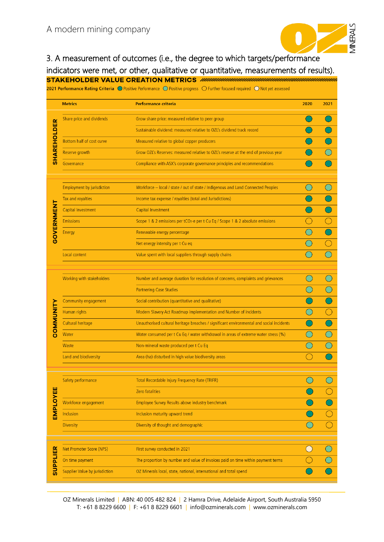

3. A measurement of outcomes (i.e., the degree to which targets/performance indicators were met, or other, qualitative or quantitative, measurements of results).

|                    | <b>Metrics</b>                    | <b>Performance criteria</b>                                                                | 2020                                        | 2021 |
|--------------------|-----------------------------------|--------------------------------------------------------------------------------------------|---------------------------------------------|------|
|                    | Share price and dividends         | Grow share price: measured relative to peer group                                          |                                             |      |
| <b>SHAREHOLDER</b> |                                   | Sustainable dividend: measured relative to OZL's dividend track record                     |                                             |      |
|                    | Bottom half of cost curve         | Measured relative to global copper producers                                               |                                             |      |
|                    | Reserve growth                    | Grow OZL's Reserves: measured relative to OZL's reserve at the end of previous year        |                                             |      |
|                    | Governance                        | Compliance with ASX's corporate governance principles and recommendations                  |                                             |      |
|                    | <b>Employment by jurisdiction</b> | Workforce - local / state / out of state / Indigenous and Land Connected Peoples           |                                             |      |
|                    | Tax and royalties                 | Income tax expense / royalties (total and Jurisdictions)                                   |                                             |      |
|                    | Capital Investment                | Capital Investment                                                                         |                                             |      |
|                    | <b>Emissions</b>                  | Scope 1 & 2 emissions per tCO <sub>2</sub> -e per t Cu Eq / Scope 1 & 2 absolute emissions |                                             |      |
| <b>GOVERNMENT</b>  | Energy                            | Renewable energy percentage                                                                |                                             |      |
|                    |                                   | Net energy intensity per t Cu eq                                                           |                                             |      |
|                    | Local content                     | Value spent with local suppliers through supply chains                                     |                                             |      |
|                    |                                   |                                                                                            |                                             |      |
|                    | Working with stakeholders         | Number and average duration for resolution of concerns, complaints and grievances          |                                             |      |
|                    |                                   | <b>Partnering Case Studies</b>                                                             |                                             |      |
|                    | Community engagement              | Social contribution (quantitative and qualitative)                                         |                                             |      |
| COMMUNITY          | Human rights                      | Modern Slavery Act Roadmap implementation and Number of incidents                          |                                             |      |
|                    | Cultural heritage                 | Unauthorised cultural heritage breaches / significant environmental and social incidents   |                                             |      |
|                    | Water                             | Water consumed per t Cu Eq / water withdrawal in areas of extreme water stress (%)         |                                             |      |
|                    | Waste                             | Non-mineral waste produced per t Cu Eq                                                     |                                             |      |
|                    | Land and biodiversity             | Area (ha) disturbed in high value biodiversity areas                                       |                                             |      |
|                    | Safety performance                | Total Recordable Injury Frequency Rate (TRIFR)                                             |                                             |      |
| EMPLOYEE           |                                   | Zero fatalities                                                                            |                                             |      |
|                    | Workforce engagement              | Employee Survey Results above industry benchmark                                           |                                             |      |
|                    | Inclusion                         | Inclusion maturity upward trend                                                            |                                             |      |
|                    | <b>Diversity</b>                  | Diversity of thought and demographic                                                       |                                             |      |
|                    | Net Promoter Score (NPS)          | First survey conducted in 2021                                                             | $\left(\begin{array}{c} \end{array}\right)$ |      |
|                    | On time payment                   | The proportion by number and value of invoices paid on time within payment terms           |                                             |      |
| <b>SUPPLIER</b>    | Supplier Value by jurisdiction    | OZ Minerals local, state, national, international and total spend                          |                                             |      |

OZ Minerals Limited | ABN: 40 005 482 824 | 2 Hamra Drive, Adelaide Airport, South Australia 5950 T: +61 8 8229 6600 | F: +61 8 8229 6601 | info@ozminerals.com | www.ozminerals.com